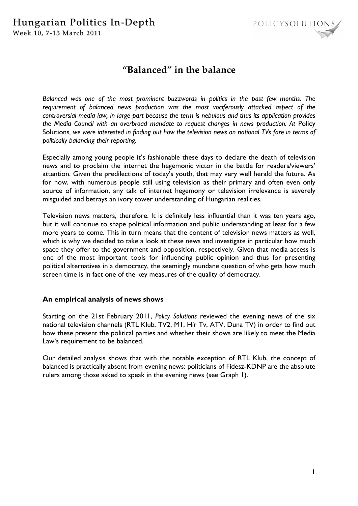### Hungarian Politics In-Depth Week 10, 7-13 March 2011



## **"Balanced" in the balance**

*Balanced was one of the most prominent buzzwords in politics in the past few months. The requirement of balanced news production was the most vociferously attacked aspect of the controversial media law, in large part because the term is nebulous and thus its application provides the Media Council with an overbroad mandate to request changes in news production. At* Policy Solutions*, we were interested in finding out how the television news on national TVs fare in terms of politically balancing their reporting.* 

Especially among young people it's fashionable these days to declare the death of television news and to proclaim the internet the hegemonic victor in the battle for readers/viewers' attention. Given the predilections of today's youth, that may very well herald the future. As for now, with numerous people still using television as their primary and often even only source of information, any talk of internet hegemony or television irrelevance is severely misguided and betrays an ivory tower understanding of Hungarian realities.

Television news matters, therefore. It is definitely less influential than it was ten years ago, but it will continue to shape political information and public understanding at least for a few more years to come. This in turn means that the content of television news matters as well, which is why we decided to take a look at these news and investigate in particular how much space they offer to the government and opposition, respectively. Given that media access is one of the most important tools for influencing public opinion and thus for presenting political alternatives in a democracy, the seemingly mundane question of who gets how much screen time is in fact one of the key measures of the quality of democracy.

#### **An empirical analysis of news shows**

Starting on the 21st February 2011, *Policy Solutions* reviewed the evening news of the six national television channels (RTL Klub, TV2, M1, Hír Tv, ATV, Duna TV) in order to find out how these present the political parties and whether their shows are likely to meet the Media Law's requirement to be balanced.

Our detailed analysis shows that with the notable exception of RTL Klub, the concept of balanced is practically absent from evening news: politicians of Fidesz-KDNP are the absolute rulers among those asked to speak in the evening news (see Graph 1).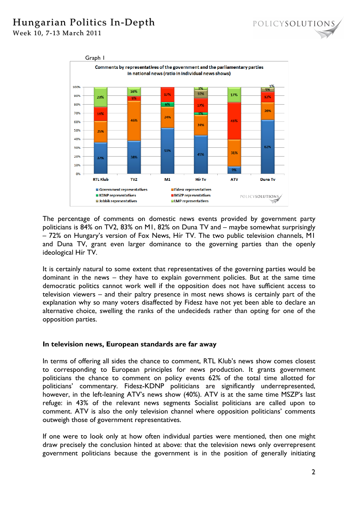# Hungarian Politics In-Depth

Week 10, 7-13 March 2011



The percentage of comments on domestic news events provided by government party politicians is 84% on TV2, 83% on M1, 82% on Duna TV and – maybe somewhat surprisingly – 72% on Hungary's version of Fox News, Hír TV. The two public television channels, M1 and Duna TV, grant even larger dominance to the governing parties than the openly ideological Hír TV.

It is certainly natural to some extent that representatives of the governing parties would be dominant in the news – they have to explain government policies. But at the same time democratic politics cannot work well if the opposition does not have sufficient access to television viewers – and their paltry presence in most news shows is certainly part of the explanation why so many voters disaffected by Fidesz have not yet been able to declare an alternative choice, swelling the ranks of the undecideds rather than opting for one of the opposition parties.

#### **In television news, European standards are far away**

In terms of offering all sides the chance to comment, RTL Klub's news show comes closest to corresponding to European principles for news production. It grants government politicians the chance to comment on policy events 62% of the total time allotted for politicians' commentary. Fidesz-KDNP politicians are significantly underrepresented, however, in the left-leaning ATV's news show (40%). ATV is at the same time MSZP's last refuge: in 43% of the relevant news segments Socialist politicians are called upon to comment. ATV is also the only television channel where opposition politicians' comments outweigh those of government representatives.

If one were to look only at how often individual parties were mentioned, then one might draw precisely the conclusion hinted at above: that the television news only overrepresent government politicians because the government is in the position of generally initiating

POLICYSOLUTIONS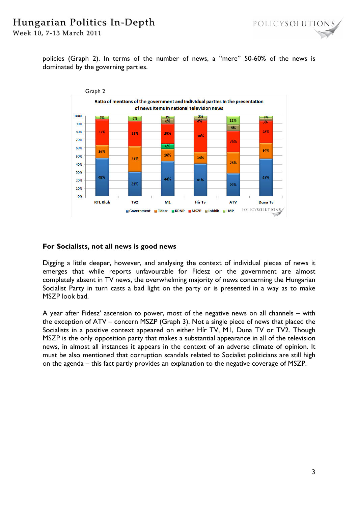# Hungarian Politics In-Depth

Week 10, 7-13 March 2011

policies (Graph 2). In terms of the number of news, a "mere" 50-60% of the news is dominated by the governing parties.



#### **For Socialists, not all news is good news**

Digging a little deeper, however, and analysing the context of individual pieces of news it emerges that while reports unfavourable for Fidesz or the government are almost completely absent in TV news, the overwhelming majority of news concerning the Hungarian Socialist Party in turn casts a bad light on the party or is presented in a way as to make MSZP look bad.

A year after Fidesz' ascension to power, most of the negative news on all channels – with the exception of ATV – concern MSZP (Graph 3). Not a single piece of news that placed the Socialists in a positive context appeared on either Hír TV, M1, Duna TV or TV2. Though MSZP is the only opposition party that makes a substantial appearance in all of the television news, in almost all instances it appears in the context of an adverse climate of opinion. It must be also mentioned that corruption scandals related to Socialist politicians are still high on the agenda – this fact partly provides an explanation to the negative coverage of MSZP.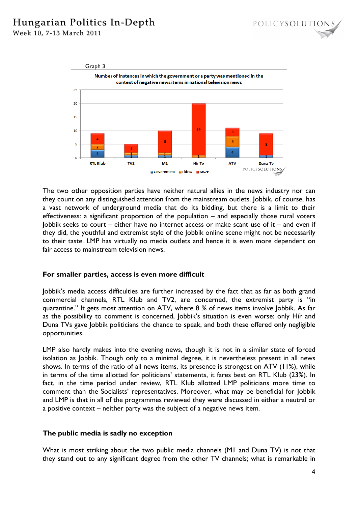# Hungarian Politics In-Depth

Week 10, 7-13 March 2011



The two other opposition parties have neither natural allies in the news industry nor can they count on any distinguished attention from the mainstream outlets. Jobbik, of course, has a vast network of underground media that do its bidding, but there is a limit to their effectiveness: a significant proportion of the population – and especially those rural voters Jobbik seeks to court – either have no internet access or make scant use of it – and even if they did, the youthful and extremist style of the Jobbik online scene might not be necessarily to their taste. LMP has virtually no media outlets and hence it is even more dependent on fair access to mainstream television news.

### **For smaller parties, access is even more difficult**

Jobbik's media access difficulties are further increased by the fact that as far as both grand commercial channels, RTL Klub and TV2, are concerned, the extremist party is "in quarantine." It gets most attention on ATV, where 8 % of news items involve Jobbik. As far as the possibility to comment is concerned, Jobbik's situation is even worse: only Hír and Duna TVs gave Jobbik politicians the chance to speak, and both these offered only negligible opportunities.

LMP also hardly makes into the evening news, though it is not in a similar state of forced isolation as Jobbik. Though only to a minimal degree, it is nevertheless present in all news shows. In terms of the ratio of all news items, its presence is strongest on ATV (11%), while in terms of the time allotted for politicians' statements, it fares best on RTL Klub (23%). In fact, in the time period under review, RTL Klub allotted LMP politicians more time to comment than the Socialists' representatives. Moreover, what may be beneficial for Jobbik and LMP is that in all of the programmes reviewed they were discussed in either a neutral or a positive context – neither party was the subject of a negative news item.

### **The public media is sadly no exception**

What is most striking about the two public media channels (M1 and Duna TV) is not that they stand out to any significant degree from the other TV channels; what is remarkable in